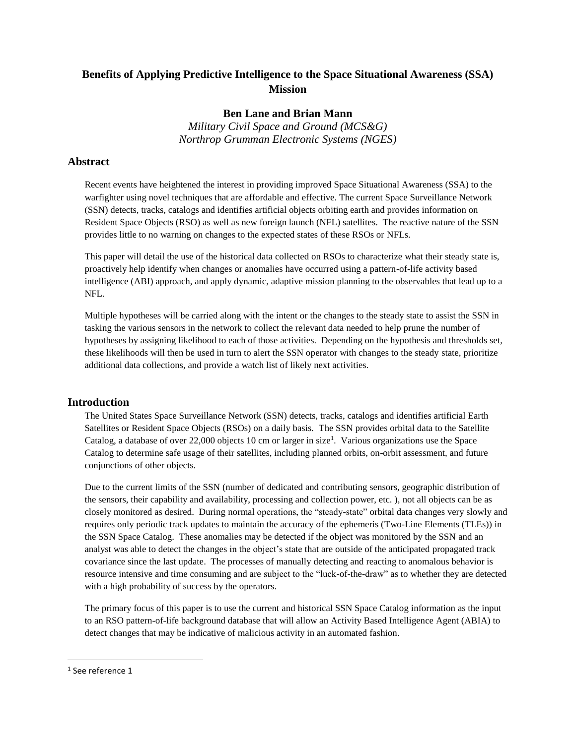# **Benefits of Applying Predictive Intelligence to the Space Situational Awareness (SSA) Mission**

## **Ben Lane and Brian Mann**

*Military Civil Space and Ground (MCS&G) Northrop Grumman Electronic Systems (NGES)*

### **Abstract**

Recent events have heightened the interest in providing improved Space Situational Awareness (SSA) to the warfighter using novel techniques that are affordable and effective. The current Space Surveillance Network (SSN) detects, tracks, catalogs and identifies artificial objects orbiting earth and provides information on Resident Space Objects (RSO) as well as new foreign launch (NFL) satellites. The reactive nature of the SSN provides little to no warning on changes to the expected states of these RSOs or NFLs.

This paper will detail the use of the historical data collected on RSOs to characterize what their steady state is, proactively help identify when changes or anomalies have occurred using a pattern-of-life activity based intelligence (ABI) approach, and apply dynamic, adaptive mission planning to the observables that lead up to a NFL.

Multiple hypotheses will be carried along with the intent or the changes to the steady state to assist the SSN in tasking the various sensors in the network to collect the relevant data needed to help prune the number of hypotheses by assigning likelihood to each of those activities. Depending on the hypothesis and thresholds set, these likelihoods will then be used in turn to alert the SSN operator with changes to the steady state, prioritize additional data collections, and provide a watch list of likely next activities.

#### **Introduction**

The United States Space Surveillance Network (SSN) detects, tracks, catalogs and identifies artificial Earth Satellites or Resident Space Objects (RSOs) on a daily basis. The SSN provides orbital data to the Satellite Catalog, a database of over 22,000 objects 10 cm or larger in size<sup>1</sup>. Various organizations use the Space Catalog to determine safe usage of their satellites, including planned orbits, on-orbit assessment, and future conjunctions of other objects.

Due to the current limits of the SSN (number of dedicated and contributing sensors, geographic distribution of the sensors, their capability and availability, processing and collection power, etc. ), not all objects can be as closely monitored as desired. During normal operations, the "steady-state" orbital data changes very slowly and requires only periodic track updates to maintain the accuracy of the ephemeris (Two-Line Elements (TLEs)) in the SSN Space Catalog. These anomalies may be detected if the object was monitored by the SSN and an analyst was able to detect the changes in the object's state that are outside of the anticipated propagated track covariance since the last update. The processes of manually detecting and reacting to anomalous behavior is resource intensive and time consuming and are subject to the "luck-of-the-draw" as to whether they are detected with a high probability of success by the operators.

The primary focus of this paper is to use the current and historical SSN Space Catalog information as the input to an RSO pattern-of-life background database that will allow an Activity Based Intelligence Agent (ABIA) to detect changes that may be indicative of malicious activity in an automated fashion.

 $\overline{\phantom{a}}$ 

<sup>1</sup> See reference 1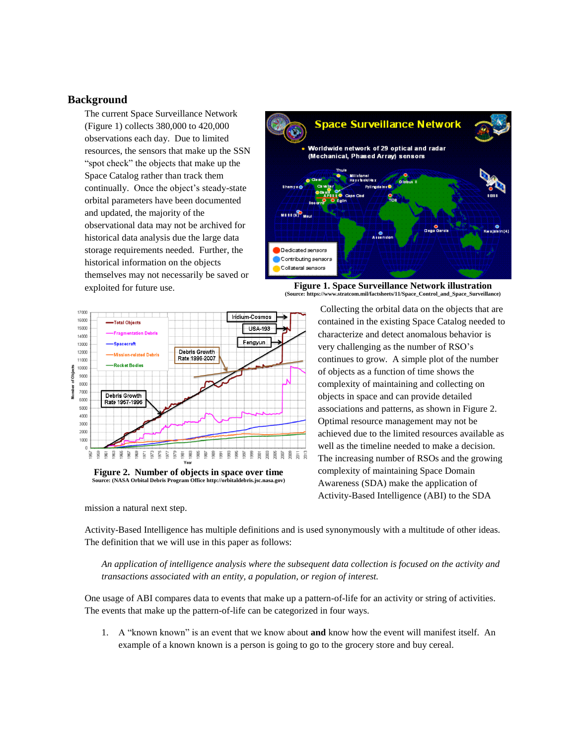#### **Background**

The current Space Surveillance Network (Figure 1) collects 380,000 to 420,000 observations each day. Due to limited resources, the sensors that make up the SSN "spot check" the objects that make up the Space Catalog rather than track them continually. Once the object's steady-state orbital parameters have been documented and updated, the majority of the observational data may not be archived for historical data analysis due the large data storage requirements needed. Further, the historical information on the objects themselves may not necessarily be saved or exploited for future use.



**Figure 1. Space Surveillance Network illustration (Source: https://www.stratcom.mil/factsheets/11/Space\_Control\_and\_Space\_Surveillance)**



**Figure 2. Number of objects in space over time Source: (NASA Orbital Debris Program Office http://orbitaldebris.jsc.nasa.gov)**

mission a natural next step.

Collecting the orbital data on the objects that are contained in the existing Space Catalog needed to characterize and detect anomalous behavior is very challenging as the number of RSO's continues to grow. A simple plot of the number of objects as a function of time shows the complexity of maintaining and collecting on objects in space and can provide detailed associations and patterns, as shown in Figure 2. Optimal resource management may not be achieved due to the limited resources available as well as the timeline needed to make a decision. The increasing number of RSOs and the growing complexity of maintaining Space Domain Awareness (SDA) make the application of Activity-Based Intelligence (ABI) to the SDA

Activity-Based Intelligence has multiple definitions and is used synonymously with a multitude of other ideas. The definition that we will use in this paper as follows:

*An application of intelligence analysis where the subsequent data collection is focused on the activity and transactions associated with an entity, a population, or region of interest.* 

One usage of ABI compares data to events that make up a pattern-of-life for an activity or string of activities. The events that make up the pattern-of-life can be categorized in four ways.

1. A "known known" is an event that we know about **and** know how the event will manifest itself. An example of a known known is a person is going to go to the grocery store and buy cereal.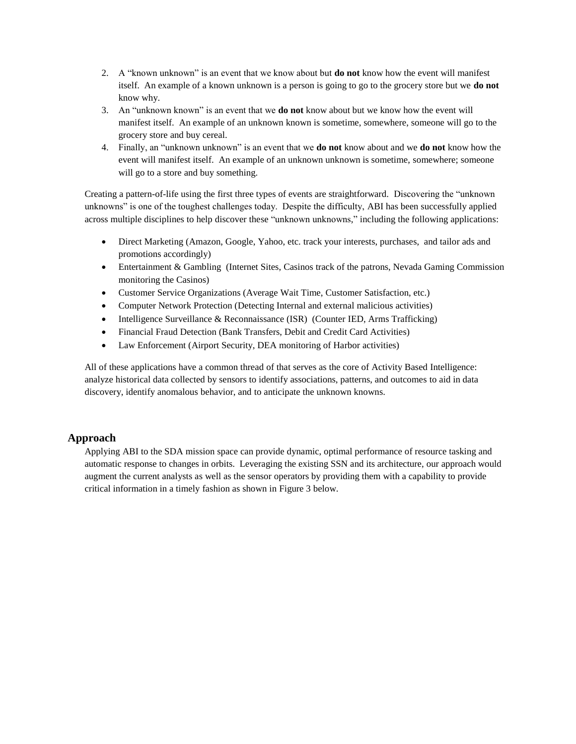- 2. A "known unknown" is an event that we know about but **do not** know how the event will manifest itself. An example of a known unknown is a person is going to go to the grocery store but we **do not** know why.
- 3. An "unknown known" is an event that we **do not** know about but we know how the event will manifest itself. An example of an unknown known is sometime, somewhere, someone will go to the grocery store and buy cereal.
- 4. Finally, an "unknown unknown" is an event that we **do not** know about and we **do not** know how the event will manifest itself. An example of an unknown unknown is sometime, somewhere; someone will go to a store and buy something.

Creating a pattern-of-life using the first three types of events are straightforward. Discovering the "unknown unknowns" is one of the toughest challenges today. Despite the difficulty, ABI has been successfully applied across multiple disciplines to help discover these "unknown unknowns," including the following applications:

- Direct Marketing (Amazon, Google, Yahoo, etc. track your interests, purchases, and tailor ads and promotions accordingly)
- Entertainment & Gambling (Internet Sites, Casinos track of the patrons, Nevada Gaming Commission monitoring the Casinos)
- Customer Service Organizations (Average Wait Time, Customer Satisfaction, etc.)
- Computer Network Protection (Detecting Internal and external malicious activities)
- Intelligence Surveillance & Reconnaissance (ISR) (Counter IED, Arms Trafficking)
- Financial Fraud Detection (Bank Transfers, Debit and Credit Card Activities)
- Law Enforcement (Airport Security, DEA monitoring of Harbor activities)

All of these applications have a common thread of that serves as the core of Activity Based Intelligence: analyze historical data collected by sensors to identify associations, patterns, and outcomes to aid in data discovery, identify anomalous behavior, and to anticipate the unknown knowns.

#### **Approach**

Applying ABI to the SDA mission space can provide dynamic, optimal performance of resource tasking and automatic response to changes in orbits. Leveraging the existing SSN and its architecture, our approach would augment the current analysts as well as the sensor operators by providing them with a capability to provide critical information in a timely fashion as shown in Figure 3 below.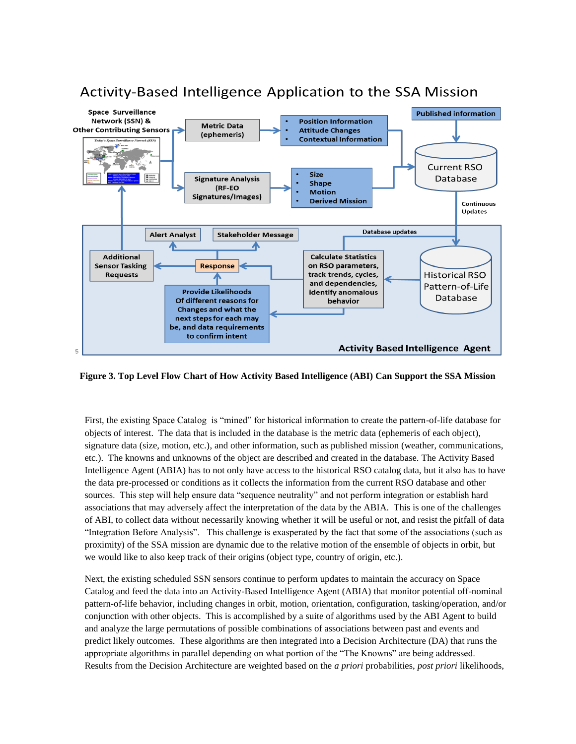

# Activity-Based Intelligence Application to the SSA Mission

**Figure 3. Top Level Flow Chart of How Activity Based Intelligence (ABI) Can Support the SSA Mission**

First, the existing Space Catalog is "mined" for historical information to create the pattern-of-life database for objects of interest. The data that is included in the database is the metric data (ephemeris of each object), signature data (size, motion, etc.), and other information, such as published mission (weather, communications, etc.). The knowns and unknowns of the object are described and created in the database. The Activity Based Intelligence Agent (ABIA) has to not only have access to the historical RSO catalog data, but it also has to have the data pre-processed or conditions as it collects the information from the current RSO database and other sources. This step will help ensure data "sequence neutrality" and not perform integration or establish hard associations that may adversely affect the interpretation of the data by the ABIA. This is one of the challenges of ABI, to collect data without necessarily knowing whether it will be useful or not, and resist the pitfall of data "Integration Before Analysis". This challenge is exasperated by the fact that some of the associations (such as proximity) of the SSA mission are dynamic due to the relative motion of the ensemble of objects in orbit, but we would like to also keep track of their origins (object type, country of origin, etc.).

Next, the existing scheduled SSN sensors continue to perform updates to maintain the accuracy on Space Catalog and feed the data into an Activity-Based Intelligence Agent (ABIA) that monitor potential off-nominal pattern-of-life behavior, including changes in orbit, motion, orientation, configuration, tasking/operation, and/or conjunction with other objects. This is accomplished by a suite of algorithms used by the ABI Agent to build and analyze the large permutations of possible combinations of associations between past and events and predict likely outcomes. These algorithms are then integrated into a Decision Architecture (DA) that runs the appropriate algorithms in parallel depending on what portion of the "The Knowns" are being addressed. Results from the Decision Architecture are weighted based on the *a priori* probabilities, *post priori* likelihoods,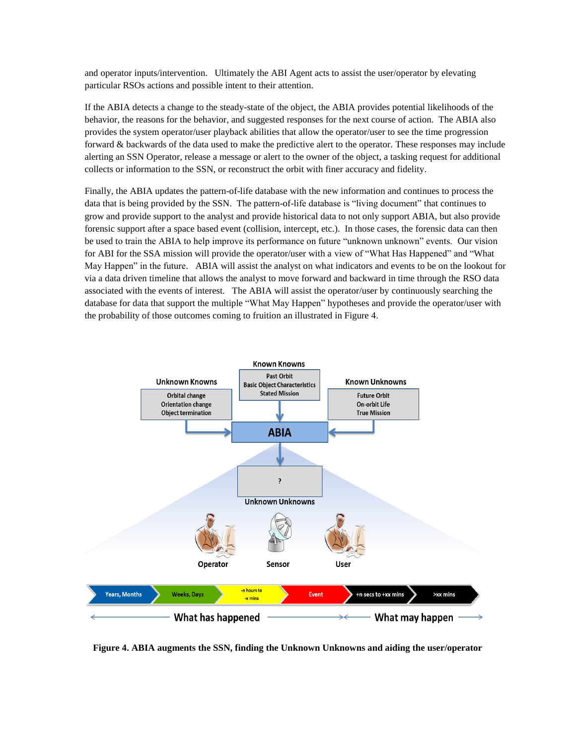and operator inputs/intervention. Ultimately the ABI Agent acts to assist the user/operator by elevating particular RSOs actions and possible intent to their attention.

If the ABIA detects a change to the steady-state of the object, the ABIA provides potential likelihoods of the behavior, the reasons for the behavior, and suggested responses for the next course of action. The ABIA also provides the system operator/user playback abilities that allow the operator/user to see the time progression forward & backwards of the data used to make the predictive alert to the operator. These responses may include alerting an SSN Operator, release a message or alert to the owner of the object, a tasking request for additional collects or information to the SSN, or reconstruct the orbit with finer accuracy and fidelity.

Finally, the ABIA updates the pattern-of-life database with the new information and continues to process the data that is being provided by the SSN. The pattern-of-life database is "living document" that continues to grow and provide support to the analyst and provide historical data to not only support ABIA, but also provide forensic support after a space based event (collision, intercept, etc.). In those cases, the forensic data can then be used to train the ABIA to help improve its performance on future "unknown unknown" events. Our vision for ABI for the SSA mission will provide the operator/user with a view of "What Has Happened" and "What May Happen" in the future. ABIA will assist the analyst on what indicators and events to be on the lookout for via a data driven timeline that allows the analyst to move forward and backward in time through the RSO data associated with the events of interest. The ABIA will assist the operator/user by continuously searching the database for data that support the multiple "What May Happen" hypotheses and provide the operator/user with the probability of those outcomes coming to fruition an illustrated in Figure 4.



**Figure 4. ABIA augments the SSN, finding the Unknown Unknowns and aiding the user/operator**